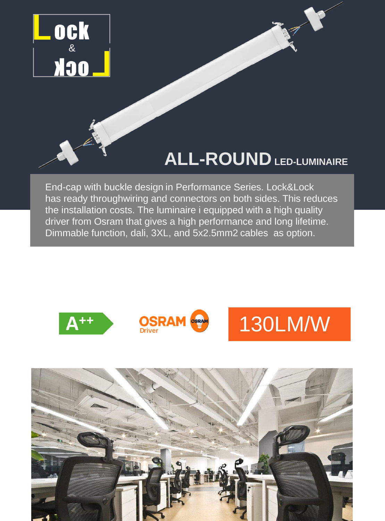

# **ALL-ROUNDLED-LUMINAIRE**

End-cap with buckle design in Performance Series. Lock&Lock has ready throughwiring and connectors on both sides. This reduces the installation costs. The luminaire i equipped with a high quality driver from Osram that gives a high performance and long lifetime. Dimmable function, dali, 3XL, and 5x2.5mm2 cables as option.



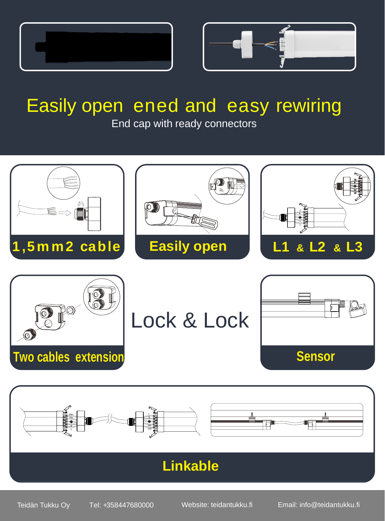



# Easily open ened and easy rewiring

End cap with ready connectors





## **Linkable**